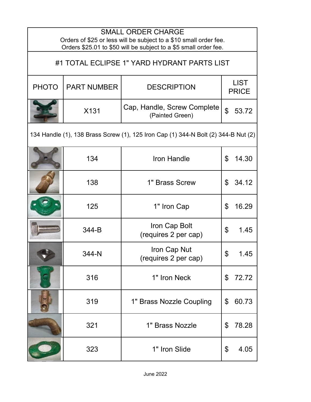| <b>SMALL ORDER CHARGE</b><br>Orders of \$25 or less will be subject to a \$10 small order fee.<br>Orders \$25.01 to \$50 will be subject to a \$5 small order fee. |                    |                                                |                             |       |
|--------------------------------------------------------------------------------------------------------------------------------------------------------------------|--------------------|------------------------------------------------|-----------------------------|-------|
| #1 TOTAL ECLIPSE 1" YARD HYDRANT PARTS LIST                                                                                                                        |                    |                                                |                             |       |
| <b>PHOTO</b>                                                                                                                                                       | <b>PART NUMBER</b> | <b>DESCRIPTION</b>                             | <b>LIST</b><br><b>PRICE</b> |       |
|                                                                                                                                                                    | X131               | Cap, Handle, Screw Complete<br>(Painted Green) | \$                          | 53.72 |
| 134 Handle (1), 138 Brass Screw (1), 125 Iron Cap (1) 344-N Bolt (2) 344-B Nut (2)                                                                                 |                    |                                                |                             |       |
|                                                                                                                                                                    | 134                | Iron Handle                                    | \$                          | 14.30 |
|                                                                                                                                                                    | 138                | 1" Brass Screw                                 | \$                          | 34.12 |
|                                                                                                                                                                    | 125                | 1" Iron Cap                                    | \$                          | 16.29 |
|                                                                                                                                                                    | 344-B              | Iron Cap Bolt<br>(requires 2 per cap)          | \$                          | 1.45  |
|                                                                                                                                                                    | 344-N              | Iron Cap Nut<br>(requires 2 per cap)           | \$                          | 1.45  |
|                                                                                                                                                                    | 316                | 1" Iron Neck                                   | \$                          | 72.72 |
|                                                                                                                                                                    | 319                | 1" Brass Nozzle Coupling                       | \$                          | 60.73 |
|                                                                                                                                                                    | 321                | 1" Brass Nozzle                                | \$                          | 78.28 |
|                                                                                                                                                                    | 323                | 1" Iron Slide                                  | \$                          | 4.05  |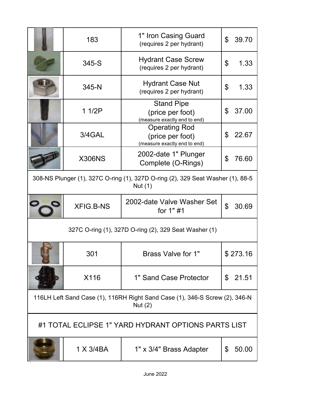|                                                                                            | 183              | 1" Iron Casing Guard<br>(requires 2 per hydrant)                         | \$<br>39.70             |
|--------------------------------------------------------------------------------------------|------------------|--------------------------------------------------------------------------|-------------------------|
|                                                                                            | 345-S            | <b>Hydrant Case Screw</b><br>(requires 2 per hydrant)                    | \$<br>1.33              |
|                                                                                            | 345-N            | <b>Hydrant Case Nut</b><br>(requires 2 per hydrant)                      | \$<br>1.33              |
|                                                                                            | 11/2P            | <b>Stand Pipe</b><br>(price per foot)<br>(measure exactly end to end)    | \$<br>37.00             |
|                                                                                            | 3/4GAL           | <b>Operating Rod</b><br>(price per foot)<br>(measure exactly end to end) | \$<br>22.67             |
|                                                                                            | <b>X306NS</b>    | 2002-date 1" Plunger<br>Complete (O-Rings)                               | \$<br>76.60             |
| 308-NS Plunger (1), 327C O-ring (1), 327D O-ring (2), 329 Seat Washer (1), 88-5<br>Nut (1) |                  |                                                                          |                         |
|                                                                                            | <b>XFIG.B-NS</b> | 2002-date Valve Washer Set<br>for 1"#1                                   | \$<br>30.69             |
| 327C O-ring (1), 327D O-ring (2), 329 Seat Washer (1)                                      |                  |                                                                          |                         |
|                                                                                            | 301              | Brass Valve for 1"                                                       | \$273.16                |
|                                                                                            | X116             | 1" Sand Case Protector                                                   | 21.51<br>$\mathfrak{L}$ |
| 116LH Left Sand Case (1), 116RH Right Sand Case (1), 346-S Screw (2), 346-N<br>Nut $(2)$   |                  |                                                                          |                         |
| #1 TOTAL ECLIPSE 1" YARD HYDRANT OPTIONS PARTS LIST                                        |                  |                                                                          |                         |
|                                                                                            | 1 X 3/4BA        | 1" x 3/4" Brass Adapter                                                  | 50.00<br>\$             |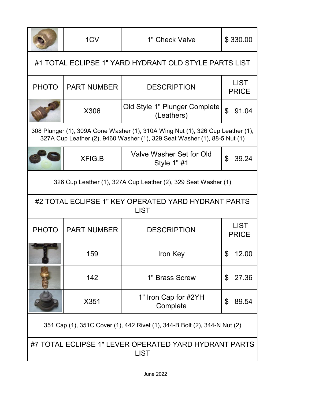|                                                                                                                                                            | 1CV                                                            | 1" Check Valve                              | \$330.00                    |  |
|------------------------------------------------------------------------------------------------------------------------------------------------------------|----------------------------------------------------------------|---------------------------------------------|-----------------------------|--|
| #1 TOTAL ECLIPSE 1" YARD HYDRANT OLD STYLE PARTS LIST                                                                                                      |                                                                |                                             |                             |  |
| <b>PHOTO</b>                                                                                                                                               | <b>PART NUMBER</b>                                             | <b>DESCRIPTION</b>                          | <b>LIST</b><br><b>PRICE</b> |  |
|                                                                                                                                                            | X306                                                           | Old Style 1" Plunger Complete<br>(Leathers) | $\mathfrak{L}$<br>91.04     |  |
| 308 Plunger (1), 309A Cone Washer (1), 310A Wing Nut (1), 326 Cup Leather (1),<br>327A Cup Leather (2), 9460 Washer (1), 329 Seat Washer (1), 88-5 Nut (1) |                                                                |                                             |                             |  |
|                                                                                                                                                            | XFIG.B                                                         | Valve Washer Set for Old<br>Style 1" #1     | \$<br>39.24                 |  |
|                                                                                                                                                            | 326 Cup Leather (1), 327A Cup Leather (2), 329 Seat Washer (1) |                                             |                             |  |
| #2 TOTAL ECLIPSE 1" KEY OPERATED YARD HYDRANT PARTS<br><b>LIST</b>                                                                                         |                                                                |                                             |                             |  |
| <b>PHOTO</b>                                                                                                                                               | <b>PART NUMBER</b>                                             | <b>DESCRIPTION</b>                          | <b>LIST</b><br><b>PRICE</b> |  |
|                                                                                                                                                            | 159                                                            | Iron Key                                    | 12.00                       |  |
|                                                                                                                                                            | 142                                                            | 1" Brass Screw                              | 27.36<br>\$                 |  |
|                                                                                                                                                            | X351                                                           | 1" Iron Cap for #2YH<br>Complete            | \$<br>89.54                 |  |
| 351 Cap (1), 351C Cover (1), 442 Rivet (1), 344-B Bolt (2), 344-N Nut (2)                                                                                  |                                                                |                                             |                             |  |
| #7 TOTAL ECLIPSE 1" LEVER OPERATED YARD HYDRANT PARTS<br><b>LIST</b>                                                                                       |                                                                |                                             |                             |  |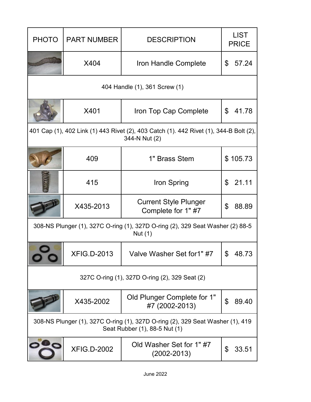| <b>PHOTO</b>                                                                                                    | <b>PART NUMBER</b> | <b>DESCRIPTION</b>                                | <b>LIST</b><br><b>PRICE</b> |  |
|-----------------------------------------------------------------------------------------------------------------|--------------------|---------------------------------------------------|-----------------------------|--|
|                                                                                                                 | X404               | Iron Handle Complete                              | 57.24<br>\$                 |  |
|                                                                                                                 |                    | 404 Handle (1), 361 Screw (1)                     |                             |  |
|                                                                                                                 | X401               | Iron Top Cap Complete                             | 41.78<br>\$                 |  |
| 401 Cap (1), 402 Link (1) 443 Rivet (2), 403 Catch (1). 442 Rivet (1), 344-B Bolt (2),<br>344-N Nut (2)         |                    |                                                   |                             |  |
|                                                                                                                 | 409                | 1" Brass Stem                                     | \$105.73                    |  |
|                                                                                                                 | 415                | Iron Spring                                       | 21.11<br>\$                 |  |
|                                                                                                                 | X435-2013          | <b>Current Style Plunger</b><br>Complete for 1"#7 | \$<br>88.89                 |  |
| 308-NS Plunger (1), 327C O-ring (1), 327D O-ring (2), 329 Seat Washer (2) 88-5<br>Nut (1)                       |                    |                                                   |                             |  |
|                                                                                                                 | <b>XFIG.D-2013</b> | Valve Washer Set for1" #7                         | \$<br>48.73                 |  |
| 327C O-ring (1), 327D O-ring (2), 329 Seat (2)                                                                  |                    |                                                   |                             |  |
|                                                                                                                 | X435-2002          | Old Plunger Complete for 1"<br>#7 (2002-2013)     | \$<br>89.40                 |  |
| 308-NS Plunger (1), 327C O-ring (1), 327D O-ring (2), 329 Seat Washer (1), 419<br>Seat Rubber (1), 88-5 Nut (1) |                    |                                                   |                             |  |
|                                                                                                                 | <b>XFIG.D-2002</b> | Old Washer Set for 1"#7<br>$(2002 - 2013)$        | \$<br>33.51                 |  |